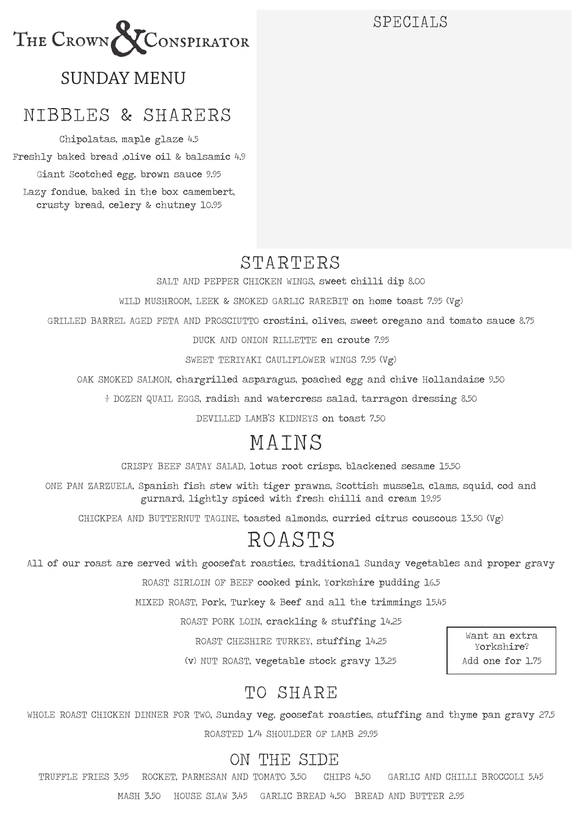SPECTAL<sub>S</sub>



#### SUNDAY MENU

## NIBBLES & SHARERS

Chipolatas, maple glaze 4.5 Freshly baked bread ,olive oil & balsamic 4.9 Giant Scotched egg, brown sauce 9.95 Lazy fondue, baked in the box camembert, crusty bread, celery & chutney 10.95

#### **STARTERS**

SALT AND PEPPER CHICKEN WINGS, sweet chilli dip 8.00

WILD MUSHROOM, LEEK & SMOKED GARLIC RAREBIT on home toast 7.95 (Vg)

GRILLED BARREL AGED FETA AND PROSCIUTTO crostini, olives, sweet oregano and tomato sauce 8.75

DUCK AND ONION RILLETTE en croute 7.95

SWEET TERIYAKI CAULIFLOWER WINGS 7.95 (Vg)

OAK SMOKED SALMON, chargrilled asparagus, poached egg and chive Hollandaise 9.50

½ DOZEN QUAIL EGGS, radish and watercress salad, tarragon dressing 8.50

DEVILLED LAMB'S KIDNEYS on toast 7.50

# MATNS

CRISPY BEEF SATAY SALAD, lotus root crisps, blackened sesame 15.50

ONE PAN ZARZUELA, Spanish fish stew with tiger prawns, Scottish mussels, clams, squid, cod and gurnard, lightly spiced with fresh chilli and cream 19.95

CHICKPEA AND BUTTERNUT TAGINE, toasted almonds, curried citrus couscous 13.50 (Vg)

## ROASTS

All of our roast are served with goosefat roasties, traditional Sunday vegetables and proper gravy

ROAST SIRLOIN OF BEEF cooked pink, Yorkshire pudding 16.5

MIXED ROAST, Pork, Turkey & Beef and all the trimmings 15.45

ROAST PORK LOIN, crackling & stuffing 14.25

ROAST CHESHIRE TURKEY, stuffing 14.25

(v) NUT ROAST, vegetable stock gravy 13.25

Want an extra Yorkshire? Add one for 1.75

#### TO SHARE

WHOLE ROAST CHICKEN DINNER FOR TWO, Sunday veg, goosefat roasties, stuffing and thyme pan gravy 27.5 ROASTED 1/4 SHOULDER OF LAMB 29.95

#### ON THE SIDE

TRUFFLE FRIES 3.95 ROCKET, PARMESAN AND TOMATO 3.50 CHIPS 4.50 GARLIC AND CHILLI BROCCOLI 5.45

MASH 3.50 HOUSE SLAW 3.45 GARLIC BREAD 4.50 BREAD AND BUTTER 2.95